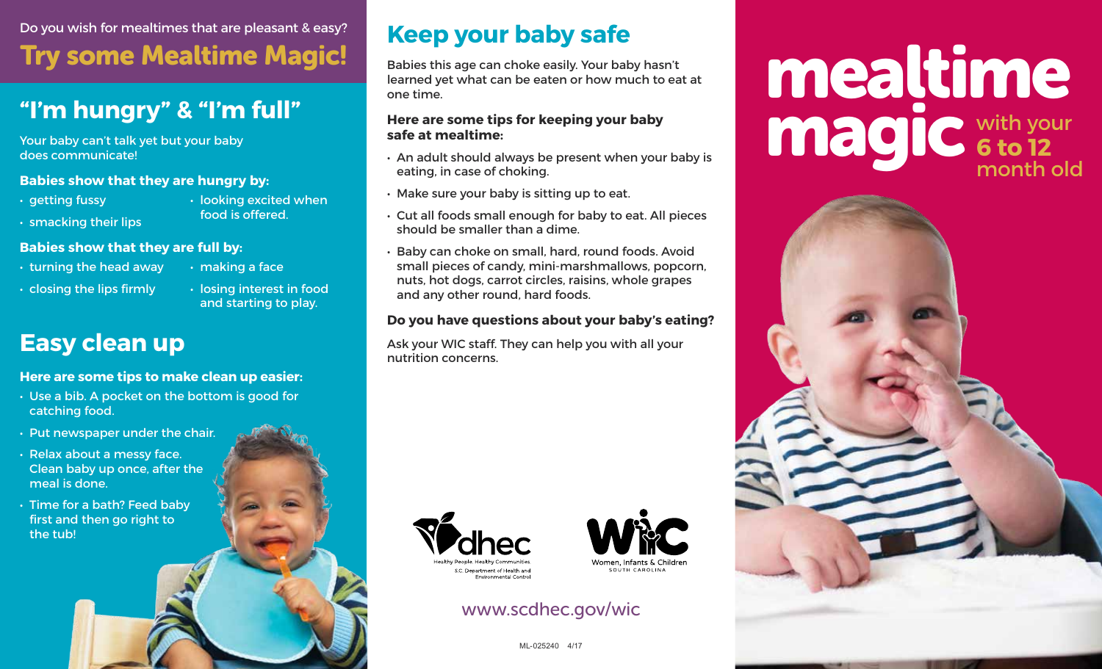Do you wish for mealtimes that are pleasant & easy? Try some Mealtime Magic!

## **"I'm hungry" & "I'm full"**

Your baby can't talk yet but your baby does communicate!

#### **Babies show that they are hungry by:**

- getting fussy
- looking excited when food is offered.

• making a face

• smacking their lips

#### **Babies show that they are full by:**

- turning the head away
- closing the lips firmly
- losing interest in food and starting to play.

## **Easy clean up**

#### **Here are some tips to make clean up easier:**

- Use a bib. A pocket on the bottom is good for catching food.
- Put newspaper under the chair.
- Relax about a messy face. Clean baby up once, after the meal is done.
- Time for a bath? Feed baby first and then go right to the tub!

## **Keep your baby safe**

Babies this age can choke easily. Your baby hasn't learned yet what can be eaten or how much to eat at one time.

#### **Here are some tips for keeping your baby safe at mealtime:**

- An adult should always be present when your baby is eating, in case of choking.
- Make sure your baby is sitting up to eat.
- Cut all foods small enough for baby to eat. All pieces should be smaller than a dime.
- Baby can choke on small, hard, round foods. Avoid small pieces of candy, mini-marshmallows, popcorn, nuts, hot dogs, carrot circles, raisins, whole grapes and any other round, hard foods.

#### **Do you have questions about your baby's eating?**

Ask your WIC staff. They can help you with all your nutrition concerns.





#### www.scdhec.gov/wic

## mealtime magic with your **6 to 12** month old



ML-025240 4/17